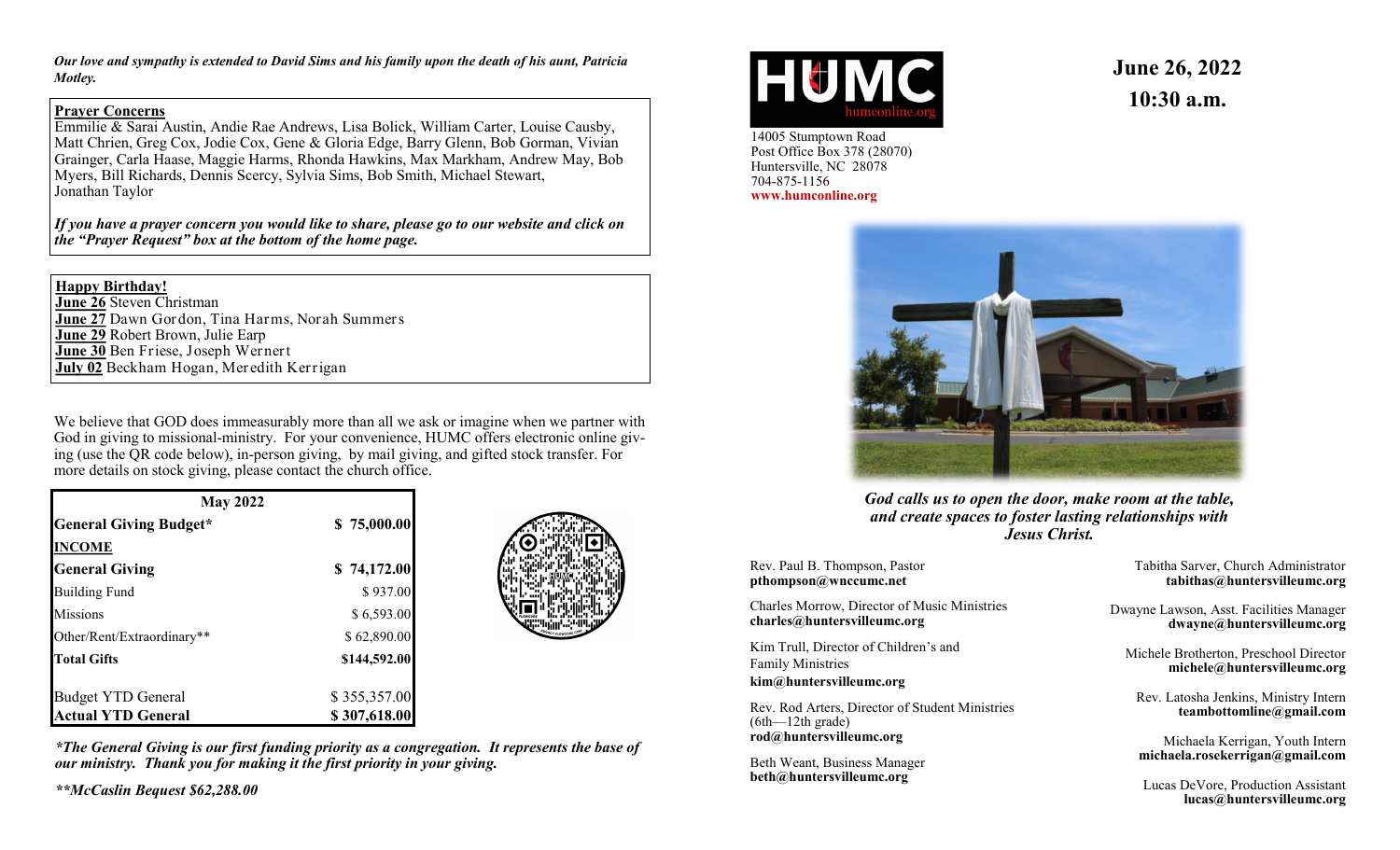*Our love and sympathy is extended to David Sims and his family upon the death of his aunt, Patricia Motley.*

## **Prayer Concerns**

Emmilie & Sarai Austin, Andie Rae Andrews, Lisa Bolick, William Carter, Louise Causby, Matt Chrien, Greg Cox, Jodie Cox, Gene & Gloria Edge, Barry Glenn, Bob Gorman, Vivian Grainger, Carla Haase, Maggie Harms, Rhonda Hawkins, Max Markham, Andrew May, Bob Myers, Bill Richards, Dennis Scercy, Sylvia Sims, Bob Smith, Michael Stewart, Jonathan Taylor

*If you have a prayer concern you would like to share, please go to our website and click on the "Prayer Request" box at the bottom of the home page.*

## **Happy Birthday!**

**June 26** Steven Christman **June 27** Dawn Gordon, Tina Harms, Norah Summers **June 29** Robert Brown, Julie Earp **June 30** Ben Friese, Joseph Wernert **July 02** Beckham Hogan, Meredith Kerrigan

We believe that GOD does immeasurably more than all we ask or imagine when we partner with God in giving to missional-ministry. For your convenience, HUMC offers electronic online giving (use the QR code below), in-person giving, by mail giving, and gifted stock transfer. For more details on stock giving, please contact the church office.

| <b>May 2022</b>               |              |  |
|-------------------------------|--------------|--|
| <b>General Giving Budget*</b> | \$75,000.00  |  |
| <b>INCOME</b>                 |              |  |
| <b>General Giving</b>         | \$74,172.00  |  |
| <b>Building Fund</b>          | \$937.00     |  |
| <b>Missions</b>               | \$6,593.00   |  |
| Other/Rent/Extraordinary**    | \$62,890.00  |  |
| <b>Total Gifts</b>            | \$144,592.00 |  |
| <b>Budget YTD General</b>     | \$355,357.00 |  |
| <b>Actual YTD General</b>     | \$307,618.00 |  |



*\*The General Giving is our first funding priority as a congregation. It represents the base of our ministry. Thank you for making it the first priority in your giving.*

*\*\*McCaslin Bequest \$62,288.00*



14005 Stumptown Road Post Office Box 378 (28070) Huntersville, NC 28078 704-875-1156 **www.humconline.org**

**June 26, 2022 10:30 a.m.**



*God calls us to open the door, make room at the table, and create spaces to foster lasting relationships with Jesus Christ.*

Rev. Paul B. Thompson, Pastor **pthompson@wnccumc.net**

Charles Morrow, Director of Music Ministries **charles@huntersvilleumc.org**

Kim Trull, Director of Children's and Family Ministries **kim@huntersvilleumc.org**

Rev. Rod Arters, Director of Student Ministries (6th—12th grade) **rod@huntersvilleumc.org**

Beth Weant, Business Manager **beth@huntersvilleumc.org**

Tabitha Sarver, Church Administrator **tabithas@huntersvilleumc.org**

Dwayne Lawson, Asst. Facilities Manager **dwayne@huntersvilleumc.org**

Michele Brotherton, Preschool Director **michele@huntersvilleumc.org**

Rev. Latosha Jenkins, Ministry Intern **teambottomline@gmail.com**

Michaela Kerrigan, Youth Intern **michaela.rosekerrigan@gmail.com**

Lucas DeVore, Production Assistant **lucas@huntersvilleumc.org**